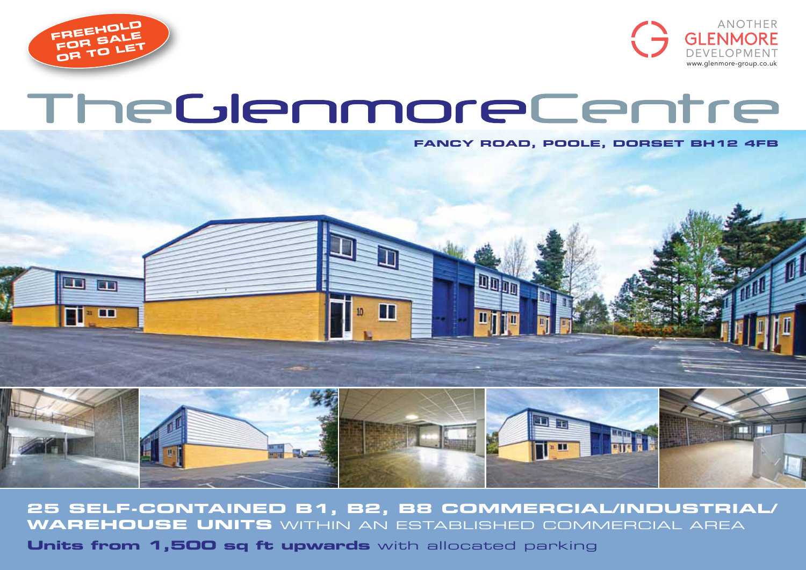



# TheGlenmoreCentre

**FANCY ROAD, POOLE, DORSET BH12 4FB**



**25 self-contained B1, b2, B8 commercial/industrial/ warehouse units** within aN ESTABLISHED COMMERCIAL AREA

**Units from 1,500 sq ft upwards** with allocated parking